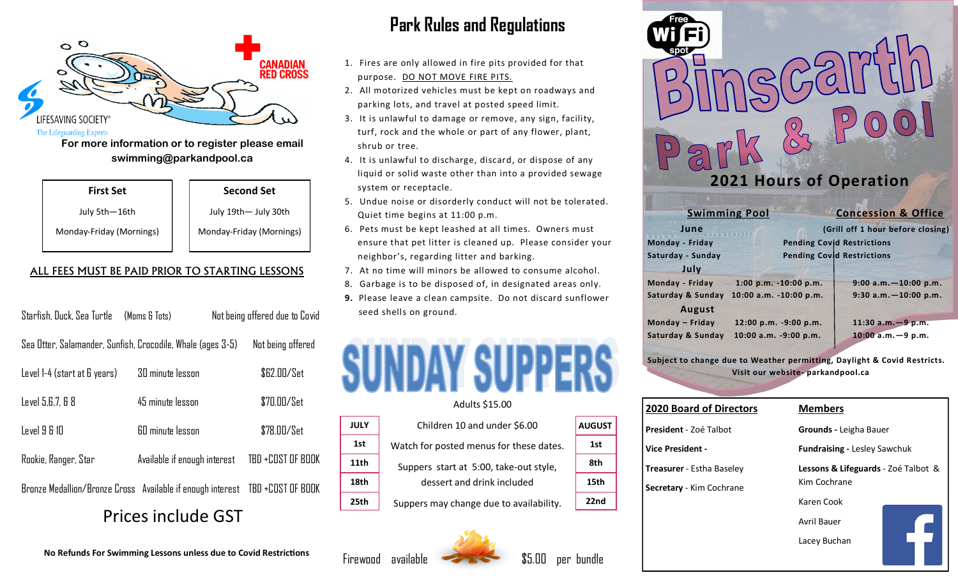

**For more information or to register please email swimming@parkandpool.ca**

| <b>First Set</b> |  |
|------------------|--|
|------------------|--|

July 5th—16th Monday-Friday (Mornings)

| July 19th- July 30th     |  |
|--------------------------|--|
| Monday-Friday (Mornings) |  |

**Second Set**

#### ALL FEES MUST BE PAID PRIOR TO STARTING LESSONS

| Starfish, Duck, Sea Turtle (Moms & Tots)                    |                              | Not being offered due to Covid                                               |  |
|-------------------------------------------------------------|------------------------------|------------------------------------------------------------------------------|--|
| Sea Otter, Salamander, Sunfish, Crocodile, Whale (ages 3-5) |                              | Not being offered                                                            |  |
| Level 1-4 (start at 6 years)                                | <b>30 minute lesson</b>      | \$62.00/Set                                                                  |  |
| Level 5,6,7, & 8                                            | 45 minute lesson             | \$70.00/Set                                                                  |  |
| Level 9 & 10                                                | 60 minute lesson             | \$78.00/Set                                                                  |  |
| Rookie, Ranger, Star                                        | Available if enough interest | TBD +COST OF BOOK                                                            |  |
|                                                             |                              | Bronze Medallion/Bronze Cross Available if enough interest TBD +COST OF BOOK |  |
| Dricos include CCT                                          |                              |                                                                              |  |

### Prices include GST

**No Refunds For Swimming Lessons unless due to Covid Restrictions**

### **Park Rules and Regulations**

- 1. Fires are only allowed in fire pits provided for that purpose. DO NOT MOVE FIRE PITS.
- 2. All motorized vehicles must be kept on roadways and parking lots, and travel at posted speed limit.
- 3. It is unlawful to damage or remove, any sign, facility, turf, rock and the whole or part of any flower, plant, shrub or tree.
- 4. It is unlawful to discharge, discard, or dispose of any liquid or solid waste other than into a provided sewage system or receptacle.
- 5. Undue noise or disorderly conduct will not be tolerated. Quiet time begins at 11:00 p.m.
- 6. Pets must be kept leashed at all times. Owners must ensure that pet litter is cleaned up. Please consider your neighbor's, regarding litter and barking.
- 7. At no time will minors be allowed to consume alcohol.
- 8. Garbage is to be disposed of, in designated areas only.
- **9.** Please leave a clean campsite. Do not discard sunflower seed shells on ground.



#### Adults \$15.00

**JULY 1st 11th**

**18th**

**25th**

Children 10 and under \$6.00 Watch for posted menus for these dates. Suppers start at 5:00, take-out style, dessert and drink included Suppers may change due to availability. **AUGUST 1st 8th 15th 22nd**





|                      | 2021 Hours of Operation           |
|----------------------|-----------------------------------|
| <b>Swimming Pool</b> | <b>Concession &amp; Office</b>    |
| June                 | (Grill off 1 hour before closing) |
| Monday - Friday      | <b>Pending Covid Restrictions</b> |
| Saturday - Sunday    | <b>Pending Covid Restrictions</b> |
| July                 |                                   |
|                      |                                   |

**Monday - Friday 1:00 p.m. -10:00 p.m. 9:00 a.m.—10:00 p.m. Saturday & Sunday 10:00 a.m. -10:00 p.m. 9:30 a.m.—10:00 p.m. August Monday – Friday 12:00 p.m. -9:00 p.m. 11:30 a.m.—9 p.m. Saturday & Sunday 10:00 a.m. -9:00 p.m. 10:00 a.m.—9 p.m.** 

**Subject to change due to Weather permitting, Daylight & Covid Restricts. Visit our website- parkandpool.ca**

| <b>2020 Board of Directors</b>   |
|----------------------------------|
| President - Zoé Talbot           |
| Vice President -                 |
| <b>Treasurer</b> - Estha Baseley |
| <b>Secretary</b> - Kim Cochrane  |
|                                  |
|                                  |
|                                  |

Free

#### **Members**

**Grounds -** Leigha Bauer

**Fundraising -** Lesley Sawchuk

**Lessons & Lifeguards** - Zoé Talbot & Kim Cochrane

Karen Cook

Avril Bauer

Lacey Buchan